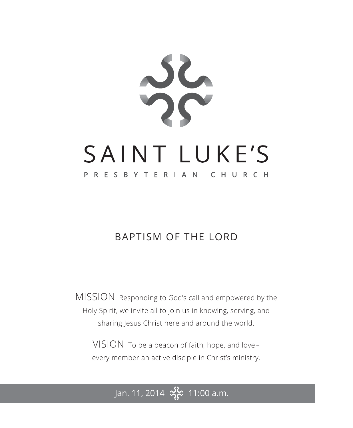

## BAPTISM OF THE LORD

MISSION Responding to God's call and empowered by the Holy Spirit, we invite all to join us in knowing, serving, and sharing Jesus Christ here and around the world.

VISION To be a beacon of faith, hope, and love – every member an active disciple in Christ's ministry.

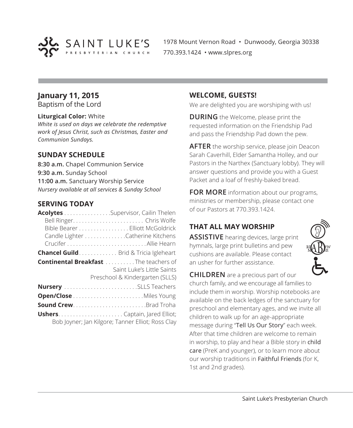

1978 Mount Vernon Road • Dunwoody, Georgia 30338 770.393.1424 • www.slpres.org

## **January 11, 2015**

Baptism of the Lord

#### **Liturgical Color:** White

*White is used on days we celebrate the redemptive work of Jesus Christ, such as Christmas, Easter and Communion Sundays.*

## **SUNDAY SCHEDULE**

**8:30 a.m.** Chapel Communion Service **9:30 a.m.** Sunday School **11:00 a.m.** Sanctuary Worship Service *Nursery available at all services & Sunday School*

## **SERVING TODAY**

| Acolytes Supervisor, Cailin Thelen<br>Bible Bearer Elliott McGoldrick<br>Candle Lighter Catherine Kitchens    |
|---------------------------------------------------------------------------------------------------------------|
| <b>Chancel Guild</b> Brid & Tricia Igleheart                                                                  |
| <b>Continental Breakfast</b> The teachers of<br>Saint Luke's Little Saints<br>Preschool & Kindergarten (SLLS) |
| Nursery SLLS Teachers                                                                                         |
|                                                                                                               |
| <b>Sound CrewBrad Troha</b>                                                                                   |
| Bob Joyner; Jan Kilgore; Tanner Elliot; Ross Clay                                                             |

#### **WELCOME, GUESTS!**

We are delighted you are worshiping with us!

**DURING** the Welcome, please print the requested information on the Friendship Pad and pass the Friendship Pad down the pew.

**AFTER** the worship service, please join Deacon Sarah Caverhill, Elder Samantha Holley, and our Pastors in the Narthex (Sanctuary lobby). They will answer questions and provide you with a Guest Packet and a loaf of freshly-baked bread.

**FOR MORE** information about our programs, ministries or membership, please contact one of our Pastors at 770.393.1424.

## **THAT ALL MAY WORSHIP**

**ASSISTIVE** hearing devices, large print hymnals, large print bulletins and pew cushions are available. Please contact an usher for further assistance.



**CHILDREN** are a precious part of our church family, and we encourage all families to include them in worship. Worship notebooks are available on the back ledges of the sanctuary for preschool and elementary ages, and we invite all children to walk up for an age-appropriate message during "Tell Us Our Story" each week. After that time children are welcome to remain in worship, to play and hear a Bible story in child care (PreK and younger), or to learn more about our worship traditions in Faithful Friends (for K, 1st and 2nd grades).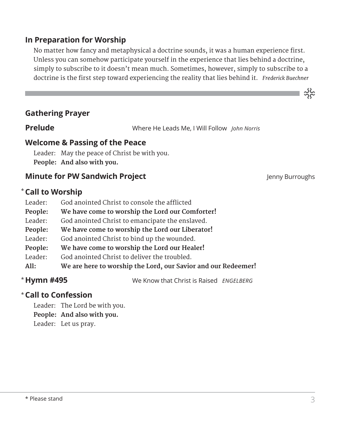## **In Preparation for Worship**

No matter how fancy and metaphysical a doctrine sounds, it was a human experience first. Unless you can somehow participate yourself in the experience that lies behind a doctrine, simply to subscribe to it doesn't mean much. Sometimes, however, simply to subscribe to a doctrine is the first step toward experiencing the reality that lies behind it. *Frederick Buechner*

## **Gathering Prayer**

**Prelude** Where He Leads Me, I Will Follow *John Norris*

## **Welcome & Passing of the Peace**

Leader: May the peace of Christ be with you. **People: And also with you.**

## **Minute for PW Sandwich Project Contract Accord Project** Jenny Burroughs

သိုင်္

## **Call to Worship** \*

| Leader: | God anointed Christ to console the afflicted                  |
|---------|---------------------------------------------------------------|
| People: | We have come to worship the Lord our Comforter!               |
| Leader: | God anointed Christ to emancipate the enslaved.               |
| People: | We have come to worship the Lord our Liberator!               |
| Leader: | God anointed Christ to bind up the wounded.                   |
| People: | We have come to worship the Lord our Healer!                  |
| Leader: | God anointed Christ to deliver the troubled.                  |
| All:    | We are here to worship the Lord, our Savior and our Redeemer! |
|         |                                                               |

\* Hymn #495

**Hymn #495** We Know that Christ is Raised *ENGELBERG*

## **Call to Confession**  \*

Leader: The Lord be with you. **People: And also with you.**

Leader: Let us pray.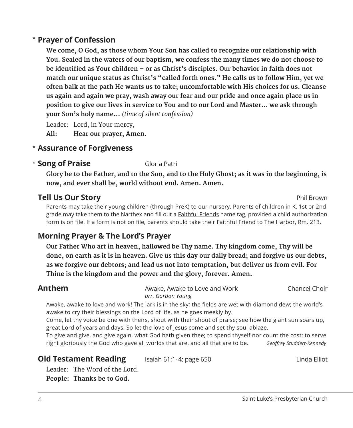## **Prayer of Confession**  \*

 **We come, O God, as those whom Your Son has called to recognize our relationship with You. Sealed in the waters of our baptism, we confess the many times we do not choose to be identified as Your children – or as Christ's disciples. Our behavior in faith does not match our unique status as Christ's "called forth ones." He calls us to follow Him, yet we often balk at the path He wants us to take; uncomfortable with His choices for us. Cleanse us again and again we pray, wash away our fear and our pride and once again place us in position to give our lives in service to You and to our Lord and Master… we ask through your Son's holy name...** *(time of silent confession)*

Leader: Lord, in Your mercy, **All: Hear our prayer, Amen.**

## **Assurance of Forgiveness** \*

## **Example 2 Song of Praise** Gloria Patri

 **Glory be to the Father, and to the Son, and to the Holy Ghost; as it was in the beginning, is now, and ever shall be, world without end. Amen. Amen.**

## **Tell Us Our Story Phil Brown**

 Parents may take their young children (through PreK) to our nursery. Parents of children in K, 1st or 2nd grade may take them to the Narthex and fill out a **Faithful Friends** name tag, provided a child authorization form is on file. If a form is not on file, parents should take their Faithful Friend to The Harbor, Rm. 213.

## **Morning Prayer & The Lord's Prayer**

 **Our Father Who art in heaven, hallowed be Thy name. Thy kingdom come, Thy will be done, on earth as it is in heaven. Give us this day our daily bread; and forgive us our debts, as we forgive our debtors; and lead us not into temptation, but deliver us from evil. For Thine is the kingdom and the power and the glory, forever. Amen.**

**Anthem** Awake, Awake to Love and Work Chancel Choir *arr. Gordon Young*

Awake, awake to love and work! The lark is in the sky; the fields are wet with diamond dew; the world's awake to cry their blessings on the Lord of life, as he goes meekly by.

Come, let thy voice be one with theirs, shout with their shout of praise; see how the giant sun soars up, great Lord of years and days! So let the love of Jesus come and set thy soul ablaze.

To give and give, and give again, what God hath given thee; to spend thyself nor count the cost; to serve right gloriously the God who gave all worlds that are, and all that are to be. *Geoffrey Studdert-Kennedy*

## **Old Testament Reading** Isaiah 61:1-4; page 650 **Isabel 2016** Linda Elliot

Leader: The Word of the Lord. **People: Thanks be to God.**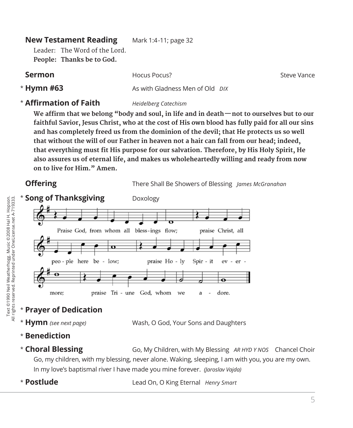| <b>New Testament Reading</b>                               | Mark 1:4-11; page 32            |             |
|------------------------------------------------------------|---------------------------------|-------------|
| Leader: The Word of the Lord.<br>People: Thanks be to God. |                                 |             |
| <b>Sermon</b>                                              | Hocus Pocus?                    | Steve Vance |
| * Hymn #63                                                 | As with Gladness Men of Old DIX |             |

## \* **Affirmation of Faith** *Heidelberg Catechism*

**We affirm that we belong "body and soul, in life and in death—not to ourselves but to our faithful Savior, Jesus Christ, who at the cost of His own blood has fully paid for all our sins and has completely freed us from the dominion of the devil; that He protects us so well that without the will of our Father in heaven not a hair can fall from our head; indeed, that everything must fit His purpose for our salvation. Therefore, by His Holy Spirit, He also assures us of eternal life, and makes us wholeheartedly willing and ready from now on to live for Him." Amen.**



## \* **Prayer of Dedication**

\* Hymn (see next page)

**Hymn** *(see next page)* Wash, O God, Your Sons and Daughters

- \* **Benediction**
- \* Choral Blessing

**Choral Blessing** Go, My Children, with My Blessing *AR HYD Y NOS* Chancel Choir Go, my children, with my blessing, never alone. Waking, sleeping, I am with you, you are my own. In my love's baptismal river I have made you mine forever. *(Jaroslav Vajda)*

\* Postlude

**Postlude** Lead On, O King Eternal *Henry Smart*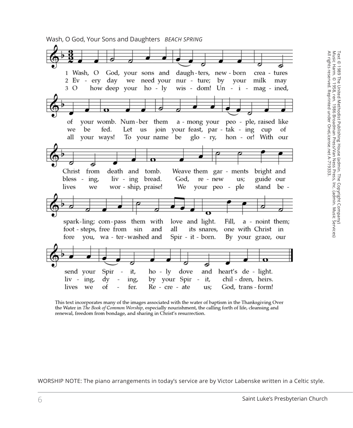Wash, O God, Your Sons and Daughters *BEACH SPRING*



This text incorporates many of the images associated with the water of baptism in the Thanksgiving Over the Water in The Book of Common Worship, especially nourishment, the calling forth of life, cleansing and renewal, freedom from bondage, and sharing in Christ's resurrection.

WORSHIP NOTE: The piano arrangements in today's service are by Victor Labenske written in a Celtic style.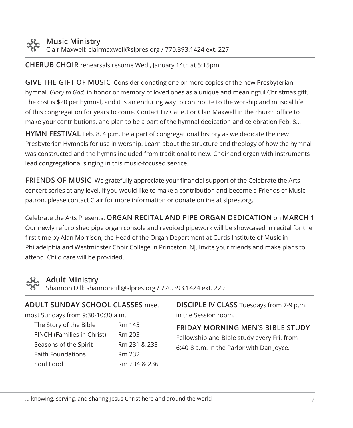**CHERUB CHOIR** rehearsals resume Wed., January 14th at 5:15pm.

**GIVE THE GIFT OF MUSIC** Consider donating one or more copies of the new Presbyterian hymnal, *Glory to God,* in honor or memory of loved ones as a unique and meaningful Christmas gift. The cost is \$20 per hymnal, and it is an enduring way to contribute to the worship and musical life of this congregation for years to come. Contact Liz Catlett or Clair Maxwell in the church office to make your contributions, and plan to be a part of the hymnal dedication and celebration Feb. 8...

**HYMN FESTIVAL** Feb. 8, 4 p.m. Be a part of congregational history as we dedicate the new Presbyterian Hymnals for use in worship. Learn about the structure and theology of how the hymnal was constructed and the hymns included from traditional to new. Choir and organ with instruments lead congregational singing in this music-focused service.

**FRIENDS OF MUSIC** We gratefully appreciate your financial support of the Celebrate the Arts concert series at any level. If you would like to make a contribution and become a Friends of Music patron, please contact Clair for more information or donate online at slpres.org.

Celebrate the Arts Presents: **ORGAN RECITAL AND PIPE ORGAN DEDICATION** on **MARCH 1** Our newly refurbished pipe organ console and revoiced pipework will be showcased in recital for the first time by Alan Morrison, the Head of the Organ Department at Curtis Institute of Music in Philadelphia and Westminster Choir College in Princeton, NJ. Invite your friends and make plans to attend. Child care will be provided.

## **Adult Ministry**

Shannon Dill: shannondill@slpres.org / 770.393.1424 ext. 229

| <b>ADULT SUNDAY SCHOOL CLASSES</b> meet |              |  |  |
|-----------------------------------------|--------------|--|--|
| most Sundays from 9:30-10:30 a.m.       |              |  |  |
| The Story of the Bible                  | Rm 145       |  |  |
| FINCH (Families in Christ)              | Rm 203       |  |  |
| Seasons of the Spirit                   | Rm 231 & 233 |  |  |
| <b>Faith Foundations</b>                | Rm 232       |  |  |
| Soul Food                               | Rm 234 & 236 |  |  |
|                                         |              |  |  |

**DISCIPLE IV CLASS** Tuesdays from 7-9 p.m. in the Session room.

**FRIDAY MORNING MEN'S BIBLE STUDY**  Fellowship and Bible study every Fri. from 6:40-8 a.m. in the Parlor with Dan Joyce.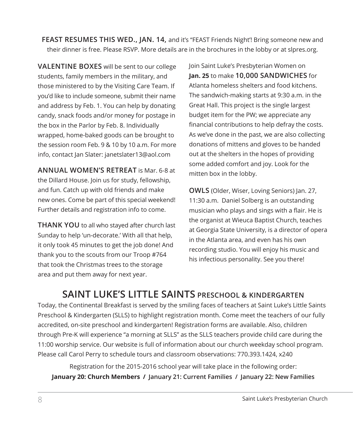**FEAST RESUMES THIS WED., JAN. 14,** and it's "FEAST Friends Night'! Bring someone new and their dinner is free. Please RSVP. More details are in the brochures in the lobby or at slpres.org.

**VALENTINE BOXES** will be sent to our college students, family members in the military, and those ministered to by the Visiting Care Team. If you'd like to include someone, submit their name and address by Feb. 1. You can help by donating candy, snack foods and/or money for postage in the box in the Parlor by Feb. 8. Individually wrapped, home-baked goods can be brought to the session room Feb. 9 & 10 by 10 a.m. For more info, contact Jan Slater: janetslater13@aol.com

**ANNUAL WOMEN'S RETREAT** is Mar. 6-8 at the Dillard House. Join us for study, fellowship, and fun. Catch up with old friends and make new ones. Come be part of this special weekend! Further details and registration info to come.

**THANK YOU** to all who stayed after church last Sunday to help 'un-decorate.' With all that help, it only took 45 minutes to get the job done! And thank you to the scouts from our Troop #764 that took the Christmas trees to the storage area and put them away for next year.

Join Saint Luke's Presbyterian Women on **Jan. 25** to make **10,000 SANDWICHES** for Atlanta homeless shelters and food kitchens. The sandwich-making starts at 9:30 a.m. in the Great Hall. This project is the single largest budget item for the PW; we appreciate any financial contributions to help defray the costs. As we've done in the past, we are also collecting donations of mittens and gloves to be handed out at the shelters in the hopes of providing some added comfort and joy. Look for the mitten box in the lobby.

**OWLS** (Older, Wiser, Loving Seniors) Jan. 27, 11:30 a.m. Daniel Solberg is an outstanding musician who plays and sings with a flair. He is the organist at Wieuca Baptist Church, teaches at Georgia State University, is a director of opera in the Atlanta area, and even has his own recording studio. You will enjoy his music and his infectious personality. See you there!

## **SAINT LUKE'S LITTLE SAINTS PRESCHOOL & KINDERGARTEN**

Today, the Continental Breakfast is served by the smiling faces of teachers at Saint Luke's Little Saints Preschool & Kindergarten (SLLS) to highlight registration month. Come meet the teachers of our fully accredited, on-site preschool and kindergarten! Registration forms are available. Also, children through Pre-K will experience "a morning at SLLS" as the SLLS teachers provide child care during the 11:00 worship service. Our website is full of information about our church weekday school program. Please call Carol Perry to schedule tours and classroom observations: 770.393.1424, x240

Registration for the 2015-2016 school year will take place in the following order: **January 20: Church Members / January 21: Current Families / January 22: New Families**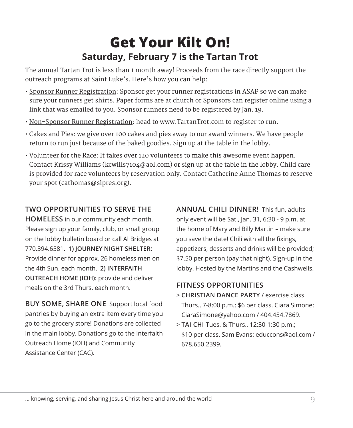# **Get Your Kilt On! Saturday, February 7 is the Tartan Trot**

The annual Tartan Trot is less than 1 month away! Proceeds from the race directly support the outreach programs at Saint Luke's. Here's how you can help:

- Sponsor Runner Registration: Sponsor get your runner registrations in ASAP so we can make sure your runners get shirts. Paper forms are at church or Sponsors can register online using a link that was emailed to you. Sponsor runners need to be registered by Jan. 19.
- Non-Sponsor Runner Registration: head to www.TartanTrot.com to register to run.
- Cakes and Pies: we give over 100 cakes and pies away to our award winners. We have people return to run just because of the baked goodies. Sign up at the table in the lobby.
- Volunteer for the Race: It takes over 120 volunteers to make this awesome event happen. Contact Krissy Williams (kcwills7104@aol.com) or sign up at the table in the lobby. Child care is provided for race volunteers by reservation only. Contact Catherine Anne Thomas to reserve your spot (cathomas@slpres.org).

## **TWO OPPORTUNITIES TO SERVE THE**

**HOMELESS** in our community each month. Please sign up your family, club, or small group on the lobby bulletin board or call Al Bridges at 770.394.6581. **1) JOURNEY NIGHT SHELTER:** Provide dinner for approx. 26 homeless men on the 4th Sun. each month. **2) INTERFAITH OUTREACH HOME (IOH):** provide and deliver meals on the 3rd Thurs. each month.

**BUY SOME, SHARE ONE** Support local food pantries by buying an extra item every time you go to the grocery store! Donations are collected in the main lobby. Donations go to the Interfaith Outreach Home (IOH) and Community Assistance Center (CAC).

**ANNUAL CHILI DINNER!** This fun, adultsonly event will be Sat., Jan. 31, 6:30 - 9 p.m. at the home of Mary and Billy Martin – make sure you save the date! Chili with all the fixings, appetizers, desserts and drinks will be provided; \$7.50 per person (pay that night). Sign-up in the lobby. Hosted by the Martins and the Cashwells.

## **FITNESS OPPORTUNITIES**

- > **CHRISTIAN DANCE PARTY** / exercise class Thurs., 7-8:00 p.m.; \$6 per class. Ciara Simone: CiaraSimone@yahoo.com / 404.454.7869.
- > **TAI CHI** Tues. & Thurs., 12:30-1:30 p.m.; \$10 per class. Sam Evans: educcons@aol.com / 678.650.2399.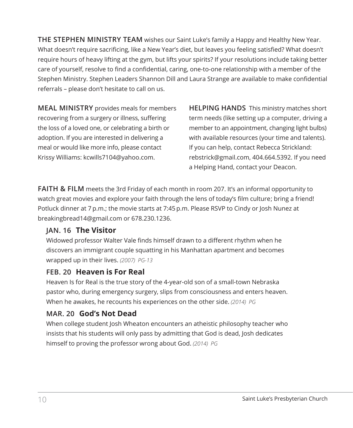**THE STEPHEN MINISTRY TEAM** wishes our Saint Luke's family a Happy and Healthy New Year. What doesn't require sacrificing, like a New Year's diet, but leaves you feeling satisfied? What doesn't require hours of heavy lifting at the gym, but lifts your spirits? If your resolutions include taking better care of yourself, resolve to find a confidential, caring, one-to-one relationship with a member of the Stephen Ministry. Stephen Leaders Shannon Dill and Laura Strange are available to make confidential referrals – please don't hesitate to call on us.

**MEAL MINISTRY** provides meals for members recovering from a surgery or illness, suffering the loss of a loved one, or celebrating a birth or adoption. If you are interested in delivering a meal or would like more info, please contact Krissy Williams: kcwills7104@yahoo.com.

**HELPING HANDS** This ministry matches short term needs (like setting up a computer, driving a member to an appointment, changing light bulbs) with available resources (your time and talents). If you can help, contact Rebecca Strickland: rebstrick@gmail.com, 404.664.5392. If you need a Helping Hand, contact your Deacon.

**FAITH & FILM** meets the 3rd Friday of each month in room 207. It's an informal opportunity to watch great movies and explore your faith through the lens of today's film culture; bring a friend! Potluck dinner at 7 p.m.; the movie starts at 7:45 p.m. Please RSVP to Cindy or Josh Nunez at breakingbread14@gmail.com or 678.230.1236.

## **JAN. 16 The Visitor**

Widowed professor Walter Vale finds himself drawn to a different rhythm when he discovers an immigrant couple squatting in his Manhattan apartment and becomes wrapped up in their lives. *(2007) PG-13*

## **FEB. 20 Heaven is For Real**

Heaven Is for Real is the true story of the 4-year-old son of a small-town Nebraska pastor who, during emergency surgery, slips from consciousness and enters heaven. When he awakes, he recounts his experiences on the other side. *(2014) PG*

## **MAR. 20 God's Not Dead**

 When college student Josh Wheaton encounters an atheistic philosophy teacher who insists that his students will only pass by admitting that God is dead, Josh dedicates himself to proving the professor wrong about God. *(2014) PG*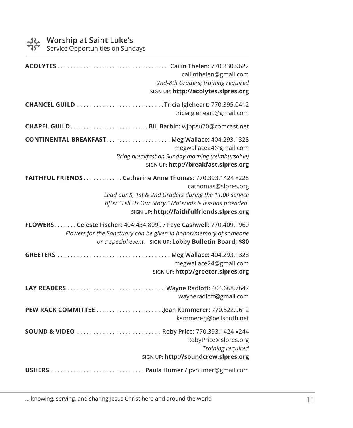Service Opportunities on Sundays

| cailinthelen@gmail.com<br>2nd-8th Graders; training required<br>SIGN UP: http://acolytes.slpres.org                                                                                                                                                  |
|------------------------------------------------------------------------------------------------------------------------------------------------------------------------------------------------------------------------------------------------------|
| triciaigleheart@gmail.com                                                                                                                                                                                                                            |
|                                                                                                                                                                                                                                                      |
| megwallace24@gmail.com<br>Bring breakfast on Sunday morning (reimbursable)<br>SIGN UP: http://breakfast.slpres.org                                                                                                                                   |
| FAITHFUL FRIENDS Catherine Anne Thomas: 770.393.1424 x228<br>cathomas@slpres.org<br>Lead our K, 1st & 2nd Graders during the 11:00 service<br>after "Tell Us Our Story." Materials & lessons provided.<br>SIGN UP: http://faithfulfriends.slpres.org |
| FLOWERS. Celeste Fischer: 404.434.8099 / Faye Cashwell: 770.409.1960<br>Flowers for the Sanctuary can be given in honor/memory of someone<br>or a special event. SIGN UP: Lobby Bulletin Board; \$80                                                 |
| megwallace24@gmail.com<br>SIGN UP: http://greeter.slpres.org                                                                                                                                                                                         |
| wayneradloff@gmail.com                                                                                                                                                                                                                               |
| kammererj@bellsouth.net                                                                                                                                                                                                                              |
| SOUND & VIDEO Roby Price: 770.393.1424 x244<br>RobyPrice@slpres.org<br>Training required<br>SIGN UP: http://soundcrew.slpres.org                                                                                                                     |
|                                                                                                                                                                                                                                                      |